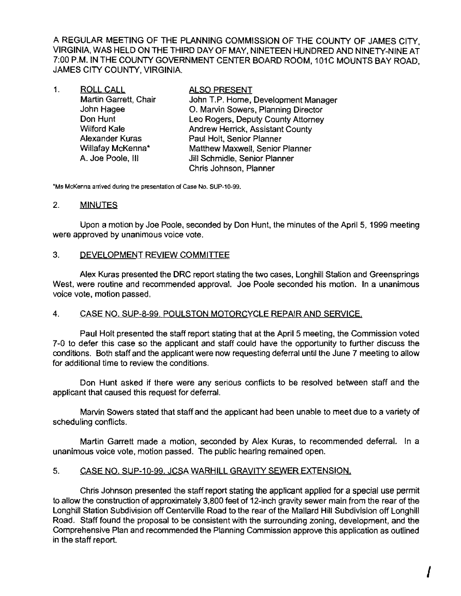A REGULAR MEETING OF THE PLANNING COMMISSION OF THE COUNTY OF JAMES CITY, VIRGINIA, WAS HELD ON THE THIRD DAY OF MAY, NINETEEN HUNDRED AND NINETY-NINE AT 7:00 P.M. IN THE COUNTY GOVERNMENT CENTER BOARD ROOM, 101C MOUNTS BAY ROAD, JAMES CITY COUNTY, VIRGINIA.

| 1. | <b>ROLL CALL</b>      | <b>ALSO PRESENT</b>                     |
|----|-----------------------|-----------------------------------------|
|    | Martin Garrett, Chair | John T.P. Horne, Development Manager    |
|    | John Hagee            | O. Marvin Sowers, Planning Director     |
|    | Don Hunt              | Leo Rogers, Deputy County Attorney      |
|    | <b>Wilford Kale</b>   | <b>Andrew Herrick, Assistant County</b> |
|    | Alexander Kuras       | Paul Holt, Senior Planner               |
|    | Willafay McKenna*     | Matthew Maxwell, Senior Planner         |
|    | A. Joe Poole, III     | Jill Schmidle, Senior Planner           |
|    |                       | Chris Johnson, Planner                  |

**\*Ms McKenna arrived** during **the presentation of Case No.** SUP-10-99.

### 2. **MINUTES**

Upon a motion by Joe Poole, seconded by Don Hunt, the minutes of the April 5, 1999 meeting were approved by unanimous voice vote.

## 3. DEVELOPMENT REVIEW COMMITTEE

Alex Kuras presented the DRC report stating the two cases, Longhill Station and Greensprings West, were routine and recommended approval. Joe Poole seconded his motion. In a unanimous voice vote, motion passed.

## 4. CASE NO. SUP-8-99. POULSTON MOTORCYCLE REPAIR AND SERVICE,

Paul Holt presented the staff report stating that at the April 5 meeting, the Commission voted 7-0 to defer this case so the applicant and staff could have the opportunity to further discuss the conditions. Both staff and the applicant were now requesting deferral until the June 7 meeting to allow for additional time to review the conditions.

Don Hunt asked if there were any serious conflicts to be resolved between staff and the applicant that caused this request for deferral.

Marvin Sowers stated that staff and the applicant had been unable to meet due to a variety of scheduling conflicts.

Martin Garrett made a motion, seconded by Alex Kuras, to recommended deferral. In a unanimous voice vote, motion passed. The public hearing remained open.

## 5. CASE NO. SUP-l0-B9. JCSA WARHILL GRAVITY SEWER EXTENSION.

Chris Johnson presented the staff report stating the applicant applied for a special use permit to allow the construction of approximately 3,800 feet of 12-inch gravity sewer main from the rear of the Longhill Station Subdivision off Centerville Road to the rear of the Mallard Hill Subdivision off Longhill Road. Staff found the proposal to be consistent with the surrounding zoning, development, and the Comprehensive Plan and recommended the Planning Commission approve this application as outlined in the staff report.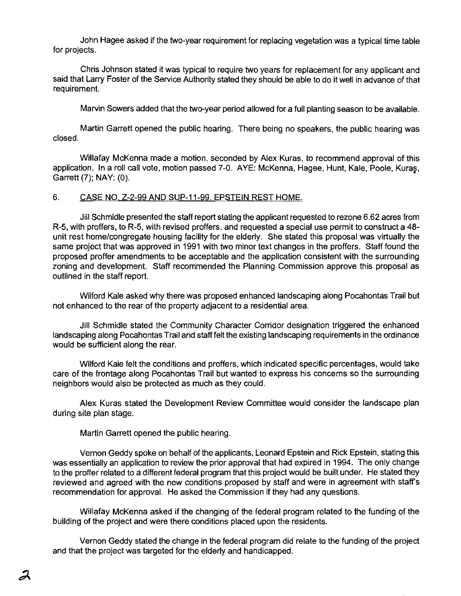John Hagee asked if the two-year requirement for replacing vegetation was a typical time table for projects.

Chris Johnson stated it was typical to require two years for replacement for any applicant and said that Larry Foster of the Service Authority stated they should be able to do it well in advance of that requirement.

Marvin Sowers added that the two-year period allowed for a full planting season to be available.

Martin Garrett opened the public hearing. There being no speakers, the public hearing was closed.

Willafay McKenna made a motion, seconded by Alex Kuras, to recommend approval of this application. In a roll call vote, motion passed 7-0. AYE: McKenna, Hagee, Hunt, Kale, Poole, Kuras. Garrett (7); NAY: (0).

### 6. CASE NO. Z-2-99 AND SUP-11-99. EPSTEIN REST HOME.

Jill Schmidle presented the staff report stating the applicant requested to rezone 6.62 acres from R-5. with proffers. to R-5. with revised proffers, and requested a special use permit to construct a 48 unit rest home/congregate housing facility for the elderly. She stated this proposal was virtually the same project that was approved in 1991 with two minor text changes in the proffers. Staff found the proposed proffer amendments to be acceptable and the application consistent with the surrounding zoning and development. Staff recommended the Planning Commission approve this proposal as oullined in the staff report.

Wilford Kale asked why there was proposed enhanced landscaping along Pocahontas Trail but not enhanced to the rear of the property adjacent to a residential area.

Jill Schmidle stated the Community Character Corridor deSignation triggered the enhanced landscaping along Pocahontas Trail and staff felt the existing landscaping requirements in the ordinance would be sufficient along the rear.

Wilford Kale felt the conditions and proffers, which indicated specific percentages. would take care of the frontage along Pocahontas Trail but wanted to express his concems so the surrounding neighbors would also be protected as much as they could.

Alex Kuras stated the Development Review Committee would consider the landscape plan during site plan stage.

Martin Garrett opened the public hearing.

Vemon Geddy spoke on behalf of the applicants, Leonard Epstein and Rick Epstein. stating this was essentially an application to review the prior approval that had expired in 1994. The only change to the proffer related to a different federal program that this project would be built under. He stated they reviewed and agreed with the new conditions proposed by staff and were in agreement with staff's recommendation for approval. He asked the Commission if they had any questions.

Willafay McKenna asked if the changing of the federal program related to the funding of the building of the project and were there conditions placed upon the residents.

Vernon Geddy stated the change in the federal program did relate to the funding of the project and that the project was targeted for the elderly and handicapped.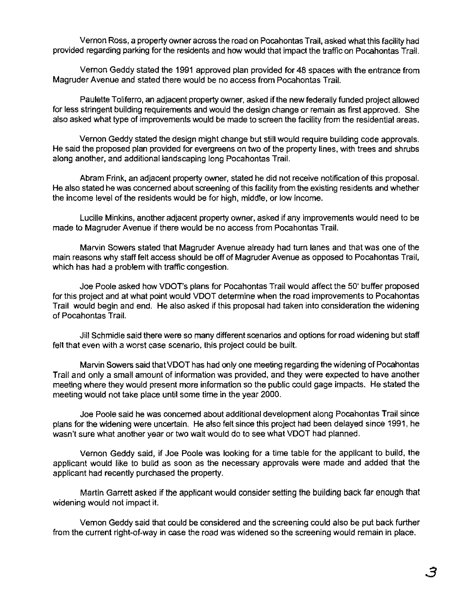Vernon Ross, a properly owner across the road on Pocahontas Trail, asked what this facility had provided regarding parking for the residents and how would that impact the traffic on Pocahontas Trail,

Vernon Geddy stated the 1991 approved plan provided for 48 spaces with the entrance from Magruder Avenue and stated there would be no access from Pocahontas Trail.

Paulette Toliferro, an adjacent property owner, asked if the new federally funded project allowed for less stringent building requirements and would the design change or remain as first approved. She also asked what type of improvements would be made to screen the facility from the residential areas.

Vernon Geddy stated the design might change but still would require building code approvals. He said the proposed plan provided for evergreens on two of the property lines, with trees and shrubs along another, and additional landscaping long Pocahontas Trail.

Abram Frink, an adjacent property owner, stated he did not receive notification of this proposal. He also stated he was concerned about screening of this facility from the existing residents and whether the income level of the residents would be for high, middle, or low income.

Lucille Minkins, another adjacent property owner, asked if any improvements would need to be made to Magruder Avenue if there would be no access from Pocahontas Trail.

Marvin Sowers stated that Magruder Avenue already had turn lanes and that was one of the main reasons why staff felt access should be off of Magruder Avenue as opposed to Pocahontas Trail. which has had a problem with traffic congestion.

Joe POOle asked how VDOT's plans for Pocahontas Trail would affect the 50' buffer proposed for this project and at what point would VDOT determine when the road improvements to Pocahontas Trail would begin and end. He also asked if this proposal had taken into consideration the widening of Pocahontas Trail.

Jill Schmidle said there were so many different scenarios and options for road widening but staff felt that even with a worst case scenario. this project could be built.

Marvin Sowers said that VDOT has had only one meeting regarding the widening of Pocahontas Trail and only a small amount of information was provided. and they were expected to have another meeting where they would present more information so the public could gage impacts. He stated the meeting would not take place until some time in the year 2000.

Joe Poole said he was concemed about additional development along Pocahontas Trail since plans for the widening were uncertain. He also felt since this project had been delayed since 1991, he wasn't sure what another year or two wait would do to see what VDOT had planned.

Vernon Geddy said, if Joe Poole was looking for a time table for the applicant to build. the applicant would like to build as soon as the necessary approvals were made and added that the applicant had recently purchased the property.

Martin Garrett asked if the applicant would consider setting the building back far enough that widening would not impact it.

Vemon Geddy said that could be considered and the screening could also be put back further from the current right-of-way in case the road was widened so the screening would remain in place .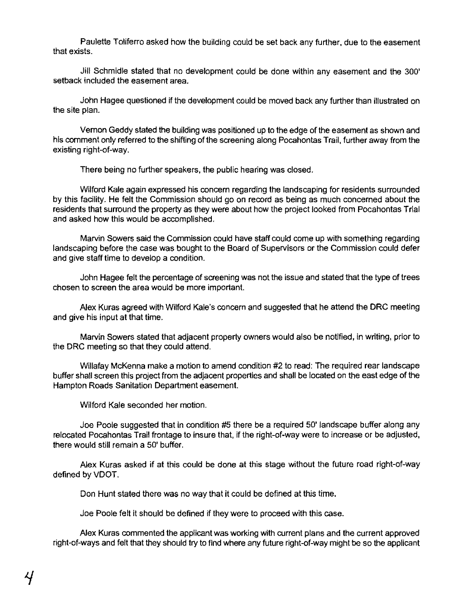Paulette Toliferro asked how the building could be set back any further, due to the easement that exists.

Jill Schmidle stated that no development could be done within any easement and the 300' setback included the easement area.

John Hagee questioned if the development could be moved back any further than illustrated on the site plan.

Vernon Geddy stated the building was positioned up to the edge of the easement as shown and his comment only referred to the shifting of the screening along Pocahontas Trail, further away from the existing right-of-way.

There being no further speakers, the public hearing was closed.

Wilford Kale again expressed his concern regarding the landscaping for residents surrounded by this facility. He felt the Commission should go on record as being as much concerned about the residents that surround the property as they were about how the project looked from Pocahontas Trial and asked how this would be accomplished.

Marvin Sowers said the Commission could have staff could come up with something regarding landscaping before the case was bought to the Board of Supervisors or the Commission could defer and give staff time to develop a condition.

John Hagee felt the percentage of screening was not the issue and stated that the type of trees chosen to screen the area would be more important.

Alex Kuras agreed with Wilford Kale's concem and suggested that he attend the DRC meeting and give his input at that time.

Marvin Sowers stated that adjacent property owners would also be notified. in writing, prior to the ORC meeting so that they could attend.

Willafay McKenna make a motion to amend condition #2 to read: The required rear landscape buffer shall screen this project from the adjacent properties and shall be located on the east edge of the Hampton Roads Sanitation Department easement.

Wilford Kale seconded her motion.

Joe Poole suggested that in condition #5 there be a required *50'* landscape buffer along any relocated Pocahontas Trail frontage to insure that, if the right-of-way were to increase or be adjusted, there would still remain a 50' buffer.

Alex Kuras asked if at this could be done at this stage without the future road right-of-way defined by VDOT.

Don Hunt stated there was no way that it could be defined at this time.

Joe Poole felt it should be defined if they were to proceed with this case.

Alex Kuras commented the applicant was working with current plans and the current approved right-of-ways and felt that they should try to find where any future right-of-way might be so the applicant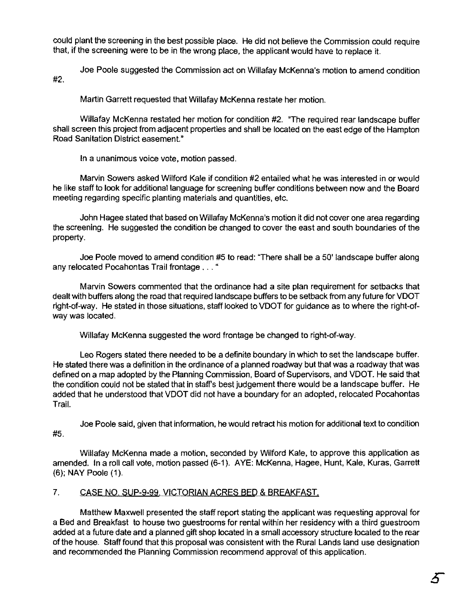could plant the screening in the best possible place. He did not believe the Commission could require that, if the screening were to be in the wrong place, the applicant would have to replace it.

Joe Poole suggested the Commission act on Willafay McKenna's motion to amend condition #2.

Martin Garrett requested that Willafay McKenna restate her motion.

Willafay McKenna restated her motion for condition #2. "The required rear landscape buffer shall screen this project from adjacent properties and shall be located on the east edge of the Hampton Road Sanitation District easement."

**In** a unanimous voice vote, motion passed.

Marvin Sowers asked Wilford Kale if condition #2 entailed what he was interested in or would he like staff to look for additional language for screening buffer conditions between now and the Board meeting regarding specific planting materials and quantities, etc.

John Hagee stated that based on Willafay McKenna's motion it did not cover one area regarding the screening. He suggested the condition be changed to cover the east and south boundaries of the property.

Joe Poole moved to amend condition #5 to read: "There shall be a 50' landscape buffer along any relocated Pocahontas Trail frontage ... "

Marvin Sowers commented that the ordinance had a site plan requirement for setbacks that dealt with buffers along the road that required landscape buffers to be setback from any future for VDOT right-of-way. He stated in those situations, staff looked to VDOT for guidance as to where the right-ofway was located.

Willafay McKenna suggested the word frontage be changed to right-of-way.

Leo Rogers stated there needed to be a definite boundary in which to set the landscape buffer. He stated there was a definition in the ordinance of a planned roadway but that was a roadway that was defined on a map adopted by the Planning Commission, Board of Supervisors, and VDOT. He said that the condition could not be stated that in staff's best judgement there would be a landscape buffer. He added that he understood that VDOT did not have a boundary for an adopted, relocated Pocahontas Trail.

Joe Poole said, given that information, he would retract his motion for additional text to condition #5.

Willafay McKenna made a motion, seconded by Wilford Kale, to approve this application as amended. In a roll call vole, motion passed (6-1). AYE: McKenna, Hagee, Hunt, Kale, Kuras, Garrett (6); NAY Poole (1).

# 7. CASE NO. SUP-9-99..VICTORIAN ACRES BED & BREAKFAST.

Matthew Maxwell presented the staff report stating the applicant was requesting approval for a Bed and Breakfast to house two guestrooms for rental within her residency with a third guestroom added at a future date and a planned gift shop located in a small accessory structure located to the rear of the house. Staff found that this proposal was consistent with the Rural Lands land use designation and recommended the Planning Commission recommend approval of this application.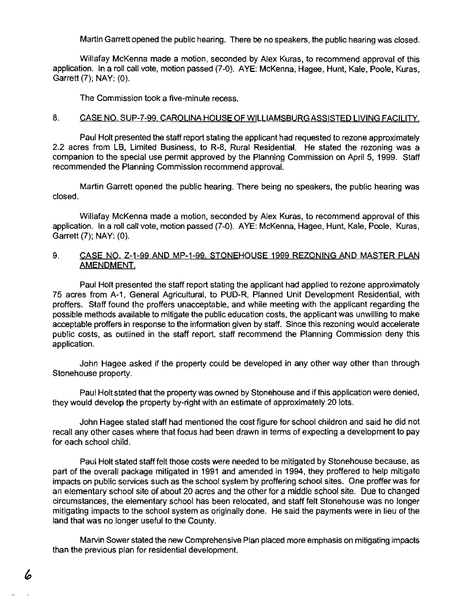Martin Garrett opened the public hearing. There be no speakers, the public hearing was closed.

Willafay McKenna made a motion, seconded by Alex Kuras, to recommend approval of this application. In a roll call vote, motion passed (7-0). AYE: McKenna, Hagee, Hunt, Kale, Poole, Kuras, Garrett (7); NAY: (0).

The Commission took a five-minute recess.

### 8. CASE NO. SUP-7-99, CAROLINA HOUSE OF WILLIAMSBURG ASSISTED LIVING FACILITY.

Paul Holt presented the staff report stating the applicant had requested to rezone approximately 2.2 acres from LB, Limited Business, to R-8, Rural Residential. He stated the rezoning was a companion to the special use permit approved by the Planning Commission on April 5, 1999. Staff recommended the Planning Commission recommend approval.

Martin Garrett opened the public hearing. There being no speakers, the public hearing was closed.

Willafay McKenna made a motion, seconded by Alex Kuras, to recommend approval of this application. In a roll call vote, motion passed (7-0). AYE: McKenna, Hagee, Hunt, Kale, Poole, Kuras, Garrett (7); NAY: (O).

### 9. CASE NO. Z-1-99 AND MP-1-99. STONEHOUSE 1999 REZONING AND MASTER PLAN AMENDMENT.

Paul Holt presented the staff report stating the applicant had applied to rezone approximately 75 acres from A-1, General Agricultural, to PUD-R, Planned Unit Development ReSidential, with proffers. Staff found the proffers unacceptable, and while meeting with the applicant regarding the possible methods available to mitigate the public education costs, the applicant was unwilling to make acceptable proffers in response to the information given by staff. Since this rezoning would accelerate public costs, as outlined in the staff report, staff recommend the Planning Commission deny this application.

John Hagee asked if the property could be developed in any other way other than through Stonehouse property.

Paul Holt stated that the property was owned by Stonehouse and if this application were denied, they would develop the property by-right with an estimate of approximately 20 lots.

John Hagee stated staff had mentioned the cost figure for school children and said he did not recall any other cases where that focus had been drawn in terms of expecting a development to pay for each school child.

Paul Holt stated staff felt those costs were needed to be mitigated by Stonehouse because, as part of the overall package mitigated in 1991 and amended in 1994, they proffered to help mitigate impacts on public services such as the school system by proffering school sites. One proffer was for an elementary school site of about 20 acres and the other for a middle School site. Due to changed circumstances, the elementary school has been relocated, and staff felt Stonehouse was no longer mitigating impacts to the school system as originally done. He said the payments were in lieu of the land that was no longer useful to the County.

Marvin Sower stated the new Comprehensive Plan placed more emphasis on mitigating impacts than the previous plan for residential development.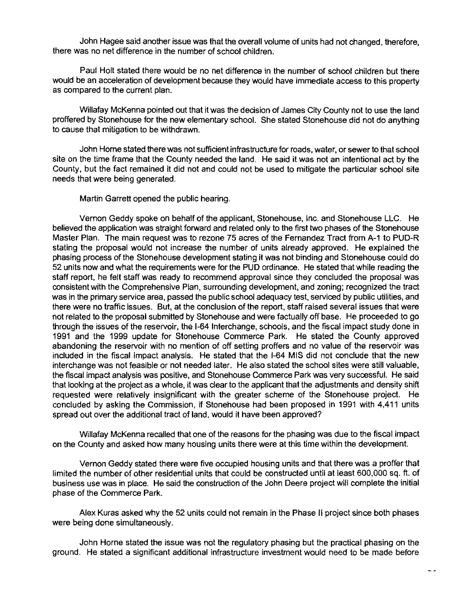John Hagee said another issue was that the overall volume of units had not changed, therefore, there was no net difference in the number of school children.

Paul Holt stated there would be no net difference in the number of school children but there would be an acceleration of development because they would have immediate access to this property as compared to the current plan.

Willafay McKenna pointed out that it was the decision of James City County not to use the land proffered by Stonehouse for the new elementary school. She stated Stonehouse did not do anything to cause that mitigation to be withdrawn.

John Horne stated there was not sufficient infrastructure for roads, water, or sewer to that school site on the time frame that the County needed the land. He said it was not an intentional act by the County, but the fact remained it did not and could not be used to mitigate the particular school site needs that were being generated.

Martin Garrett opened the public hearing.

Vernon Geddy spoke on behalf of the applicant, Stonehouse, Inc. and Stonehouse LLC. He believed the application was straight forward and related only to the first two phases of the Stonehouse Master Plan. The main request was to rezone 75 acres of the Fernandez Tract from A-1 to PUD-R stating the proposal would not increase the number of units already approved. He explained the phasing process of the Stonehouse development stating it was not binding and Stonehouse could do 52 units now and what the requirements were for the PUD ordinance. He stated that while reading the staff report, he felt staff was ready to recommend approval since they concluded the proposal was consistent with the Comprehensive Plan, surrounding development, and zoning; recognized the tract was in the primary service area, passed the public school adequacy test, serviced by public utilities, and there were no traffic issues. But, at the conclusion of the report, staff raised several issues that were not related to the proposal submitted by Stonehouse and were factually off base. He proceeded to go through the issues of the reservoir, the 1-64 Interchange, schools, and the fiscal impact study done in 1991 and the 1999 update for Stonehouse Commerce Park. He stated the County approved abandoning the reservoir with no mention of off setting proffers and no value of the reservoir was included in the fiscal impact analysis. He stated that the 1-64 MIS did not conclude that the new interchange was not feasible or not needed later. He also stated the school sites were still valuable, the fiscal impact analysis was positive, and Stonehouse Commerce Park was very successful. He said that looking at the project as a whole, it was clear to the applicant that the adjustments and density shift requested were relatively insignificant with the greater scheme of the Stonehouse project. He concluded by asking the Commission, if Stonehouse had been proposed in 1991 with 4,411 units spread out over the additional tract of land, would it have been approved?

Willafay McKenna recalled that one of the reasons for the phasing was due to the fiscal impact on the County and asked how many housing units there were at this time within the development.

Vernon Geddy stated there were five occupied housing units and that there was a proffer that limited the number of other residential units that could be constructed until at least 600,000 sq. ft. of business use was in place. He said the construction of the John Deere project will complete the initial phase of the Commerce Park.

Alex Kuras asked why the 52 units could not remain in the Phase II project since both phases were being done simultaneously.

John Horne stated the issue was not the regulatory phasing but the practical phasing on the ground. He stated a Significant additional infrastructure investment would need to be made before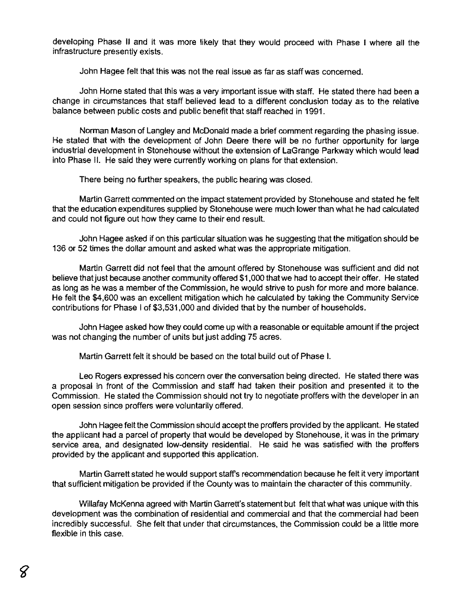developing Phase II and it was more likely that they would proceed with Phase I where all the infrastructure presently exists.

John Hagee felt that this was not the real issue as far as staff was concemed.

John Home stated that this was a very important issue with staff. He stated there had been a change in circumstances that staff believed lead to a different conclusion today as to the relative balance between public costs and public benefit that staff reached in 1991.

Norman Mason of Langley and McDonald made a brief comment regarding the phasing issue. He stated that with the development of John Deere there will be no further opportunity for large industrial development in Stonehouse without the extension of LaGrange Parkway which would lead into Phase II. He said they were currently working on plans for that extension.

There being no further speakers, the public hearing was closed.

Martin Garrett commented on the impact statement provided by Stonehouse and stated he felt that the education expenditures supplied by Stonehouse were much lower than what he had calculated and could not figure out how they came to their end result.

John Hagee asked if on this particular situation was he suggesting that the mitigation should be 136 or 52 times the dollar amount and asked what was the appropriate mitigation.

Martin Garrett did not feel that the amount offered by Stonehouse was sufficient and did not believe that just because another community offered \$1,000 that we had to accept their offer. He stated as long as he was a member of the Commission, he would strive to push for more and more balance. He felt the \$4,600 was an excellent mitigation which he calculated by taking the Community Service contributions for Phase I of \$3.531,000 and divided that by the number of households.

John Hagee asked how they could come up with a reasonable or equitable amount if the project was not changing the number of units but just adding 75 acres.

Martin Garrett felt it should be based on the total build out of Phase I.

Leo Rogers expressed his concern over the conversation being directed. He stated there was a proposal in front of the Commission and staff had taken their position and presented it to the Commission. He stated the Commission should not try to negotiate proffers with the developer in an open session since proffers were voluntarily offered.

John Hagee felt the Commission should accept the proffers provided by the applicant. He stated the applicant had a parcel of property that would be developed by Stonehouse, it was in the primary service area, and designated low-density residential. He said he was satisfied with the proffers provided by the applicant and supported this application.

Martin Garrett stated he would support staff's recommendation because he felt it very important that sufficient mitigation be provided if the County was to maintain the character of this community.

Willafay McKenna agreed with Martin Garrett's statement but felt that what was unique with this development was the combination of residential and commercial and that the commercial had been incredibly successful. She felt that under that circumstances, the Commission could be a little more flexible in this case.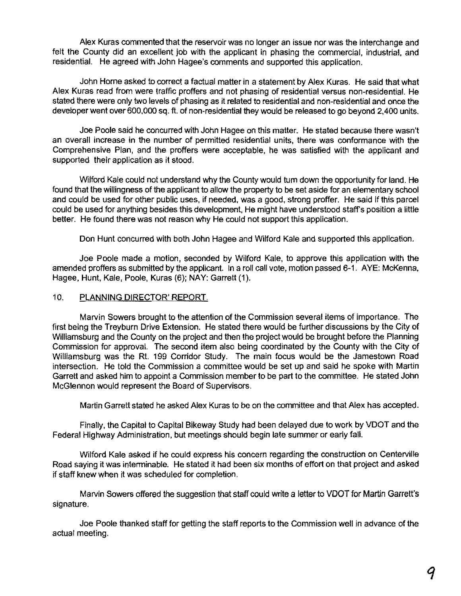Alex Kuras commented that the reservoir was no longer an issue nor was the interchange and felt the County did an excellent job with the applicant in phasing the commercial, industrial, and residential. He agreed with John Hagee's comments and supported this application.

John Home asked to correct a factual matter in a statement by Alex Kuras. He said that what Alex Kuras read from were traffic proffers and not phasing of residential versus non-residential. He stated there were only two levels of phasing as it related to residential and non-residential and once the developer went over 600,000 sq. fl. of non-residential they would be released to go beyond 2,400 units.

Joe Poole said he concurred with John Hagee on this matter. He stated because there wasn't an overall increase in the number of permitted residential units, there was conformance with the Comprehensive Plan, and the proffers were acceptable, he was satisfied with the applicant and supported their application as it stood.

Wilford Kale could not understand why the County would tum down the opportunity for land. He found that the willingness of the applicant to allow the property to be set aside for an elementary school and could be used for other public uses, if needed, was a good, strong proffer. He said if this parcel could be used for anything besides this development, He might have understood staff's position a little better. He found there was not reason why He could not support this application.

Don Hunt concurred with both John Hagee and Wilford Kale and supported this application.

Joe Poole made a motion, seconded by Wilford Kale, to approve this application with the amended proffers as submitted by the applicant. In a roll call vote, motion passed 6-1. AYE: McKenna, Hagee, Hunt, Kale, Poole, Kuras (6); NAY: Garrett (1).

### 10. PLANNING DIRECTOR' REPORT.

Marvin Sowers brought to the attention of the Commission several items of importance. The first being the Treyburn Drive Extension. He stated there would be further discussions by the City of Williamsburg and the County on the project and then the project would be brought before the Planning Commission for approval. The second item also being coordinated by the County with the City of Williamsburg was the Rt. 199 Corridor Study. The main focus would be the Jamestown Road intersection. He told the Commission a committee would be set up and said he spoke with Martin Garrett and asked him to appoint a Commission member to be part to the committee. He staled John McGlennon would represent the Board of Supervisors.

Martin Garrett stated he asked Alex Kuras to be on the committee and that Alex has accepted.

Finally, the Capital to Capital Bikeway Study had been delayed due to work by VDOT and the Federal Highway Administration, but meetings should begin late summer or early fall.

Wilford Kale asked if he could express his concern regarding the construction on Centerville Road saying it was interminable. He stated it had been six months of effort on that project and asked if staff knew when it was scheduled for completion.

Marvin Sowers offered the suggestion that staff could write a letter to VDOT for Martin Garrett's signature.

Joe Poole thanked staff for getting the staff reports to the Commission well in advance of the actual meeting.